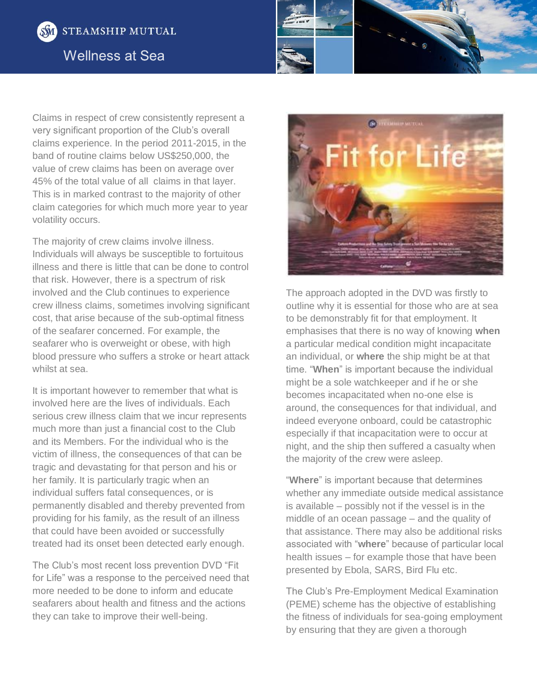



Claims in respect of crew consistently represent a very significant proportion of the Club's overall claims experience. In the period 2011-2015, in the band of routine claims below US\$250,000, the value of crew claims has been on average over 45% of the total value of all claims in that layer. This is in marked contrast to the majority of other claim categories for which much more year to year volatility occurs.

The majority of crew claims involve illness. Individuals will always be susceptible to fortuitous illness and there is little that can be done to control that risk. However, there is a spectrum of risk involved and the Club continues to experience crew illness claims, sometimes involving significant cost, that arise because of the sub-optimal fitness of the seafarer concerned. For example, the seafarer who is overweight or obese, with high blood pressure who suffers a stroke or heart attack whilst at sea.

It is important however to remember that what is involved here are the lives of individuals. Each serious crew illness claim that we incur represents much more than just a financial cost to the Club and its Members. For the individual who is the victim of illness, the consequences of that can be tragic and devastating for that person and his or her family. It is particularly tragic when an individual suffers fatal consequences, or is permanently disabled and thereby prevented from providing for his family, as the result of an illness that could have been avoided or successfully treated had its onset been detected early enough.

The Club's most recent loss prevention DVD "Fit for Life" was a response to the perceived need that more needed to be done to inform and educate seafarers about health and fitness and the actions they can take to improve their well-being.



The approach adopted in the DVD was firstly to outline why it is essential for those who are at sea to be demonstrably fit for that employment. It emphasises that there is no way of knowing **when** a particular medical condition might incapacitate an individual, or **where** the ship might be at that time. "**When**" is important because the individual might be a sole watchkeeper and if he or she becomes incapacitated when no-one else is around, the consequences for that individual, and indeed everyone onboard, could be catastrophic especially if that incapacitation were to occur at night, and the ship then suffered a casualty when the majority of the crew were asleep.

"**Where**" is important because that determines whether any immediate outside medical assistance is available – possibly not if the vessel is in the middle of an ocean passage – and the quality of that assistance. There may also be additional risks associated with "**where**" because of particular local health issues – for example those that have been presented by Ebola, SARS, Bird Flu etc.

The Club's Pre-Employment Medical Examination (PEME) scheme has the objective of establishing the fitness of individuals for sea-going employment by ensuring that they are given a thorough